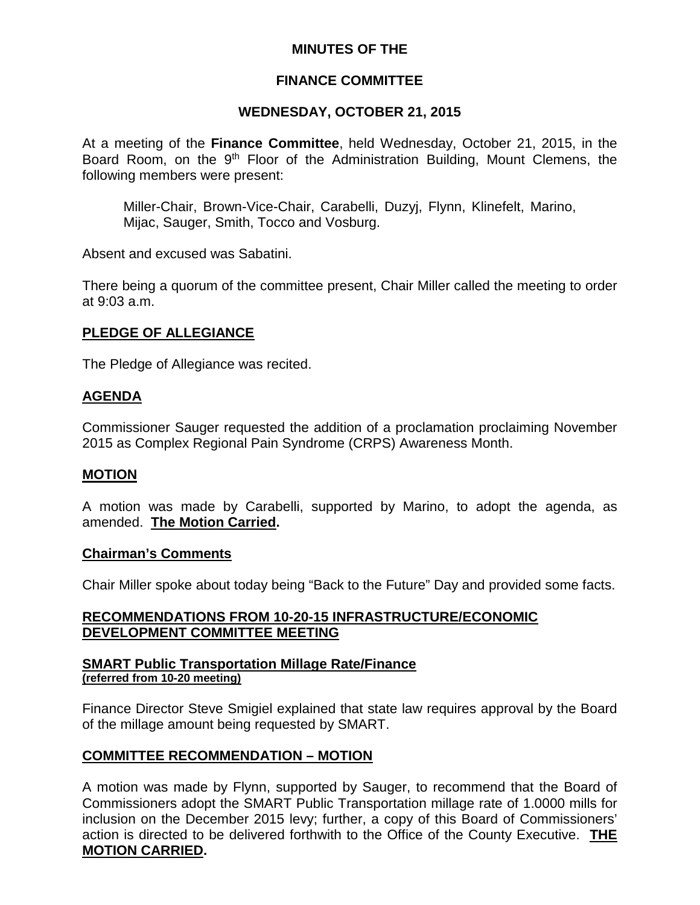### **MINUTES OF THE**

# **FINANCE COMMITTEE**

## **WEDNESDAY, OCTOBER 21, 2015**

At a meeting of the **Finance Committee**, held Wednesday, October 21, 2015, in the Board Room, on the 9<sup>th</sup> Floor of the Administration Building, Mount Clemens, the following members were present:

Miller-Chair, Brown-Vice-Chair, Carabelli, Duzyj, Flynn, Klinefelt, Marino, Mijac, Sauger, Smith, Tocco and Vosburg.

Absent and excused was Sabatini.

There being a quorum of the committee present, Chair Miller called the meeting to order at 9:03 a.m.

# **PLEDGE OF ALLEGIANCE**

The Pledge of Allegiance was recited.

### **AGENDA**

Commissioner Sauger requested the addition of a proclamation proclaiming November 2015 as Complex Regional Pain Syndrome (CRPS) Awareness Month.

#### **MOTION**

A motion was made by Carabelli, supported by Marino, to adopt the agenda, as amended. **The Motion Carried.**

#### **Chairman's Comments**

Chair Miller spoke about today being "Back to the Future" Day and provided some facts.

### **RECOMMENDATIONS FROM 10-20-15 INFRASTRUCTURE/ECONOMIC DEVELOPMENT COMMITTEE MEETING**

#### **SMART Public Transportation Millage Rate/Finance (referred from 10-20 meeting)**

Finance Director Steve Smigiel explained that state law requires approval by the Board of the millage amount being requested by SMART.

### **COMMITTEE RECOMMENDATION – MOTION**

A motion was made by Flynn, supported by Sauger, to recommend that the Board of Commissioners adopt the SMART Public Transportation millage rate of 1.0000 mills for inclusion on the December 2015 levy; further, a copy of this Board of Commissioners' action is directed to be delivered forthwith to the Office of the County Executive. **THE MOTION CARRIED.**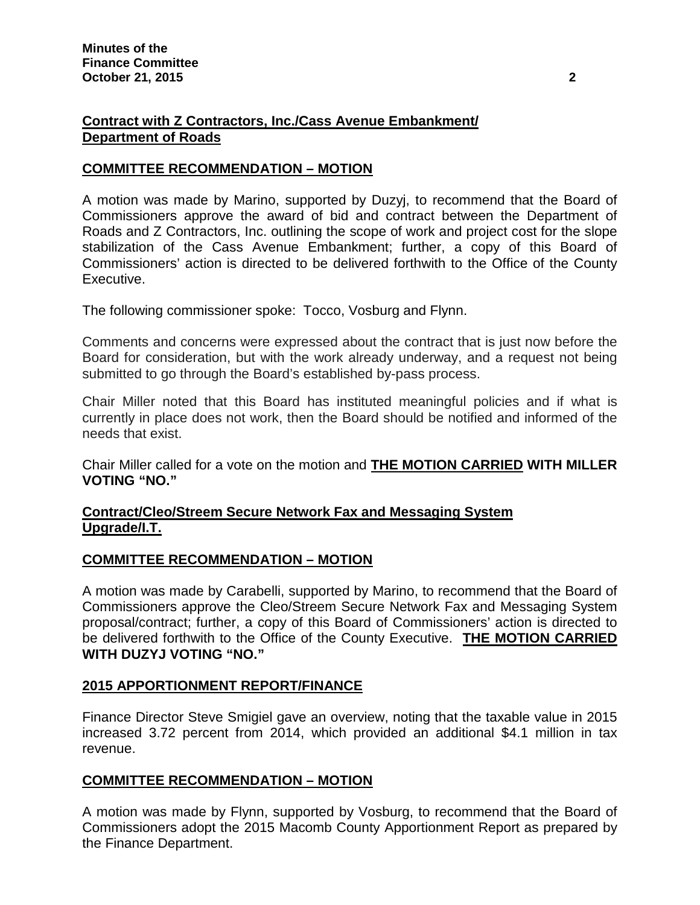## **Contract with Z Contractors, Inc./Cass Avenue Embankment/ Department of Roads**

### **COMMITTEE RECOMMENDATION – MOTION**

A motion was made by Marino, supported by Duzyj, to recommend that the Board of Commissioners approve the award of bid and contract between the Department of Roads and Z Contractors, Inc. outlining the scope of work and project cost for the slope stabilization of the Cass Avenue Embankment; further, a copy of this Board of Commissioners' action is directed to be delivered forthwith to the Office of the County Executive.

The following commissioner spoke: Tocco, Vosburg and Flynn.

Comments and concerns were expressed about the contract that is just now before the Board for consideration, but with the work already underway, and a request not being submitted to go through the Board's established by-pass process.

Chair Miller noted that this Board has instituted meaningful policies and if what is currently in place does not work, then the Board should be notified and informed of the needs that exist.

Chair Miller called for a vote on the motion and **THE MOTION CARRIED WITH MILLER VOTING "NO."**

### **Contract/Cleo/Streem Secure Network Fax and Messaging System Upgrade/I.T.**

### **COMMITTEE RECOMMENDATION – MOTION**

A motion was made by Carabelli, supported by Marino, to recommend that the Board of Commissioners approve the Cleo/Streem Secure Network Fax and Messaging System proposal/contract; further, a copy of this Board of Commissioners' action is directed to be delivered forthwith to the Office of the County Executive. **THE MOTION CARRIED WITH DUZYJ VOTING "NO."**

### **2015 APPORTIONMENT REPORT/FINANCE**

Finance Director Steve Smigiel gave an overview, noting that the taxable value in 2015 increased 3.72 percent from 2014, which provided an additional \$4.1 million in tax revenue.

### **COMMITTEE RECOMMENDATION – MOTION**

A motion was made by Flynn, supported by Vosburg, to recommend that the Board of Commissioners adopt the 2015 Macomb County Apportionment Report as prepared by the Finance Department.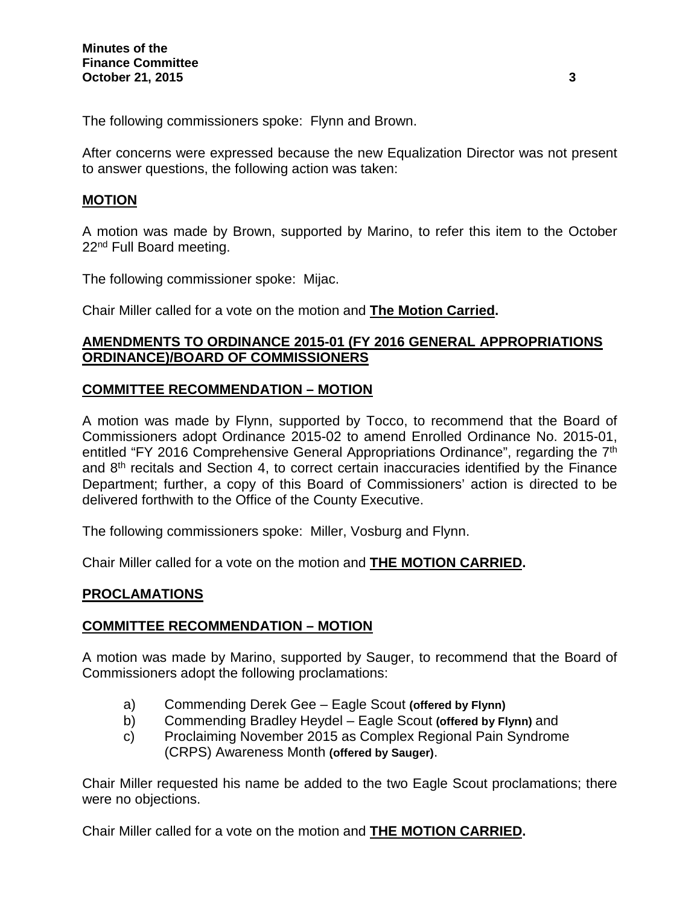The following commissioners spoke: Flynn and Brown.

After concerns were expressed because the new Equalization Director was not present to answer questions, the following action was taken:

#### **MOTION**

A motion was made by Brown, supported by Marino, to refer this item to the October 22<sup>nd</sup> Full Board meeting.

The following commissioner spoke: Mijac.

Chair Miller called for a vote on the motion and **The Motion Carried.**

#### **AMENDMENTS TO ORDINANCE 2015-01 (FY 2016 GENERAL APPROPRIATIONS ORDINANCE)/BOARD OF COMMISSIONERS**

#### **COMMITTEE RECOMMENDATION – MOTION**

A motion was made by Flynn, supported by Tocco, to recommend that the Board of Commissioners adopt Ordinance 2015-02 to amend Enrolled Ordinance No. 2015-01, entitled "FY 2016 Comprehensive General Appropriations Ordinance", regarding the 7<sup>th</sup> and 8th recitals and Section 4, to correct certain inaccuracies identified by the Finance Department; further, a copy of this Board of Commissioners' action is directed to be delivered forthwith to the Office of the County Executive.

The following commissioners spoke: Miller, Vosburg and Flynn.

Chair Miller called for a vote on the motion and **THE MOTION CARRIED.**

#### **PROCLAMATIONS**

### **COMMITTEE RECOMMENDATION – MOTION**

A motion was made by Marino, supported by Sauger, to recommend that the Board of Commissioners adopt the following proclamations:

- a) Commending Derek Gee Eagle Scout **(offered by Flynn)**
- b) Commending Bradley Heydel Eagle Scout **(offered by Flynn)** and
- c) Proclaiming November 2015 as Complex Regional Pain Syndrome (CRPS) Awareness Month **(offered by Sauger)**.

Chair Miller requested his name be added to the two Eagle Scout proclamations; there were no objections.

Chair Miller called for a vote on the motion and **THE MOTION CARRIED.**